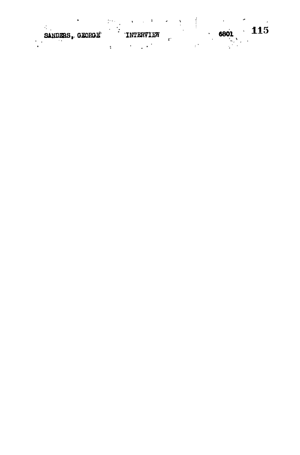|                 | in the sea |                  |  |             |  |
|-----------------|------------|------------------|--|-------------|--|
| SANDERS, GEORGE |            | <b>LNTERVIEW</b> |  | 115<br>6801 |  |
|                 |            |                  |  |             |  |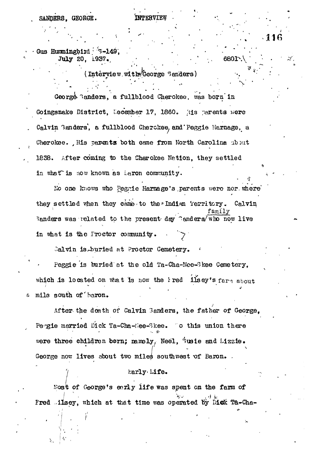SANDERS, GEORGE.

INTERVIEW

116

6801

Gus Hummingbird 3-149, July 20, 1937.

 $($  Interview with  $%$  corge  $S$  and  $\sigma$ rs  $)$ 

George Banders, a fullblood Cherokee, was born in Goingsnake District, December 17, 1860. Ais parents were Calvin Banders, a fullblood Cherckee, and Peggie Harnage, a Cherokee. His parents both came from North Carolina about 1838. After coming to the Cherokee Nation, they settled in what is now known as aron community.

No one knows who Pegnie Harnage's parents were nor where they settled when they came to the Indian Territory. Calvin Sanders was related to the present day "anders/who now live in what is the Proctor community.

Calvin is buried at Proctor Cemetery.

Peggie is buried at the old Ta-Cha-Nee-Skee Cemetery. which is located on what is now the Pred lisey's farm about mile south of baron. δ

After the death of Calvin Sanders, the father of George. Peogie married Dick Ta-Cha-Hee-Skee. To this union there were three children born; namely, Neel, Susie and Lizzie. George now lives about two miles southwest of Baron.

## harly Life.

Most of George's early life was spent on the farm of Fred lisey, which at that time was operated by Dick Ta-Cha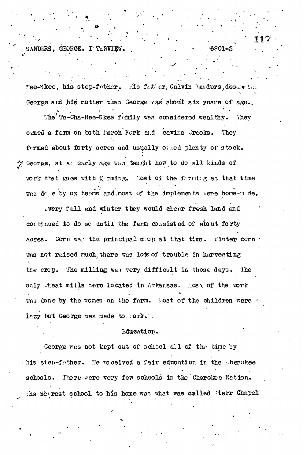SANDERS. GEORGE. I TERVIEW.

Mee-Skee, his step-father. His father, Calvin Banders, descarted George and his mother when George ves about six years of age.

The  $n =$  Ta-Cha-Nee-Skee frintly was considered wealthy. They owned a farm on both Maron Fork and eavine Creeks. They formed about forty acres and usually othed plenty of stock. George, at allearly age was taught how to do all kinds of work that goes with forming. Nost of the farming at that time was do e by ox teams and most of the implements were home-u de.

. very fall and winter they would clear fresh land and continued to do so until the ferm consisted of about forty Corn way the principal crop at that time. winter corner ACTES. was not raised much, there was lots of trouble in harvesting the crop. The milling was very difficult in those days.  $\ln e$ only meat mills were located in Arkansas. Most of the work was done by the women on the farm. Lost of the children were lazy but George was made to sork.

## Lducation.

George was not kept out of school all of the time by his step-father. He received a fair education in the cherokee schools. There were very few schools in the Cherokee Nation. The nearest school to his home was what was called 'tarr Chapel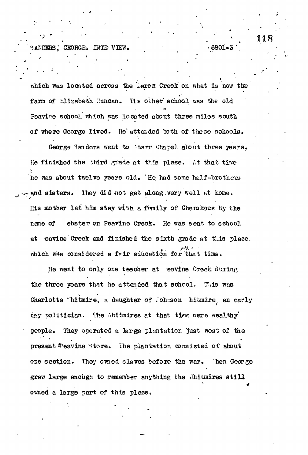**. " ' 118** BANDERS, GEORGE. INTE VIEW.

which was located across the Larcr. Creek on what is now the farm of Llizabeth Duncan. The other school was the old Peavire school which was located about three miles south of where George lived. He' attended both of those schools.

George Sanders went to Starr Chapel about three years. He finished the third grade at this place. At that time he was about twelve years old. 'He had some half-brothers apd sisters-- They did not get along,very well at home. His mother let him stay with a family of Cherokaes by the nane of ebster on Peavine Creek. He was sent to school at eavine Creek and finished the sixth grade at this place. which was considered a fair education for that time.

He went to only one teacher at eavine Creek during the three years that he attended that school. This was Charlotte "hitmire, a daughter of Johnson hitmire, an oorly day politician. The Whitmires at that time weare wealthy' people. They operated a large plantation just west of the present #eavine Store. The plantation consisted of about one section. They owned slaves before the war. Then George grew large enough to remember anything the Whitmires still ovmed a large part of this place.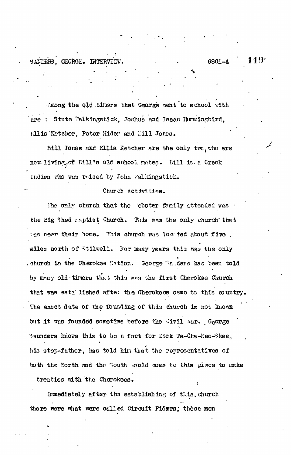SANDERS, GEORGE. INTERVIEW.

6801-4

19

Imong the old timers that George went to school with are : Stute Walkingstick, Joshua and Isaac Humningbird, Ellis Ketcher, Peter Hider and Eill Jones.

Bill Jones and Ellis Ketcher are the only two, who are now living, of Eill's old school mates. Eill is a Creek Indian who was reised by John Falkingstick.

#### Church Activities.

The only church that the "ebster family attended was the Eig 3hed raptist Church. This was the only church that res near their home. This church was loc ted about five. miles north of Stilwell. For many years this was the only . church in the Cherokse Nation. George Raders has been told by many old timers that this was the first Cherokee Church that was esta'lished afte: the Cherokeos came to this country. The exect date of the founding of this church is not known but it was founded sometime before the Civil Mar. George Baunders knows this to be a fact for Dick Ta-Cha-Nec-Skee, his step-father, has told him that the representatives of to the the North and the South sould come to this place to make

treaties with the Cherokees.

Immediately after the establishing of this, church there were what were called Circuit Fidura; these men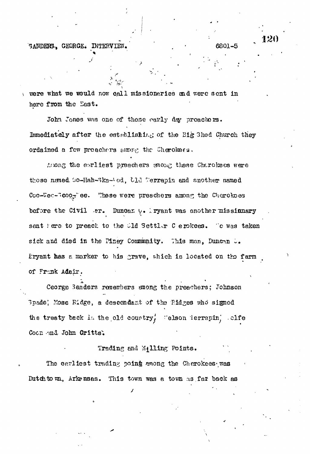SANDERS. GEORGE. INTERVIEW.

were what we would now call missionaries and were sent in here from the East.

John Jones was one of those early day proachers. Immediately after the establishing of the Big 3hed Church they ordained a few preachers among the Cherokaes.

Arong the earliest preachers mong these Charokees were those named Go-Hah-Bka-Uod. Cld Werrapin and another named Coo-Wec-Beooglee. These were preschers among the Cherokoes before the Civil er. Duncan  $\cup$ . ryant was another missinmary sent here to preach to the Old Settler C erokees. Te was taken sick and died in the Piney Community. This man, Duncan .. Pryant has a marker to his grave, which is located on the farm of Frank Adair.

Ceorge Sanders remembers smong the preachers; Johnson 3pade! Mose Ridge, a descendant of the Ridges who signed the treaty back in the old country, "elson ierrapin, clfe Coon and John Gritts.

## Trading and %411ing Points.

The carliest trading point among the Cherokees was Dutchtown, Arkensas. This town was a town as far back as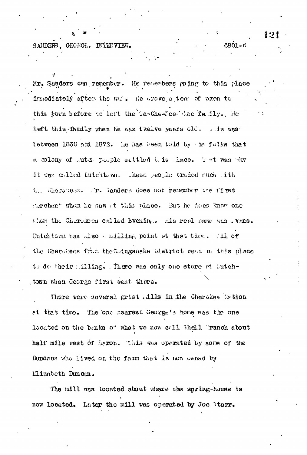GEORGE. INTERVIEW. SANDER3.

Mr. Sanders can remember. He remembers going to this place imediately after the wit. He trove a team of pxen to this town before to left the La-Cha-Yee Last faily. He left this family when he was twelve years old. I is was between 1830 and 1872. he has been told by the folks that a colony of tute paple settled this lace. That was why it was called Eutchtown. These people traded much lith the Chorokess. Tr. Sanders does not remember the first sachant when he saw at this place. But he does know one thor the Cherokoes called Evening. Inis real name was . vans. Duichtawn was also . milling point et that time. (11 of the Cherolises from the Coingsnake bistrict went we tris place is do their silling. There was only one store at lutchtown when George first went there.

There were several grist alls in the Cherokee Wation at that time. The one nearest George's home was the one located on the banks of what we now call Shell Tranch about half mile west of Laron. This was operated by some of the Duncans who lived on the farm that is now owned by Elizabeth Duncan.

The mill was located about where the spring-house is now located. Later the mill was operated by Joe Marr.

121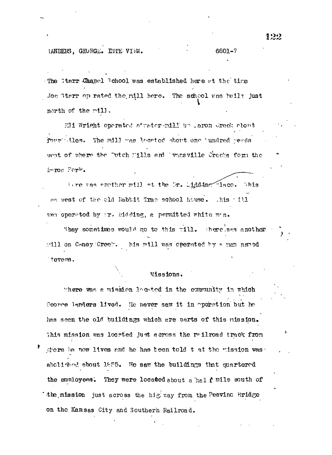The Ctarr Chapel School was established here at the time Joe Sterr op rated the mill here. The school was built just north of the rill.

Eli Wright operated at water-mill boughous creek about four les. The mill was leerted about one 'undred gends west of where the "utch "ills and 'versville Greeks form the Foron Fork.

iere vas enother mill et the Mr. Lidding Theo. This as west of the old Rabbit Trap school house. This fill was operated by ir. Eidding, a permitted white man.

They sometimes would go to this rill. there was another mill on Coney Creek. his mill was operated by a man named tevers.

## **Missions.**

There was a mission located in the community in which Ceorre Innders lived. He never saw it in operation but he has seen the old buildings which are parts of this mission. This mission was located just across the reliroad track from stere he now lives and he has been told t at the mission was. abolished about 1955. He saw the buildings that quartered the enuloyees. They were located about a halfulle south of the mission just across the hig way from the Peavinc Bridge on the Kansas City and Southern Railroad.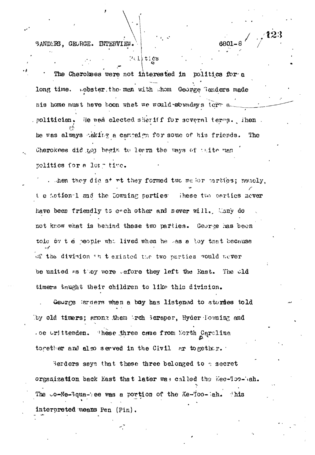SANDERS, GEORGE. INTERVIEW.

# $201$ ties

The Cherolees were not interested in politics for a long time. sebster, the men with them George Senders made nis home must have boon what we would weadays term a He was elected sheriff for several terms. Then , n**olitician.** he was always aking a campaign for some of his friends. The Cherokees did to, hegin to learn the ways of thite man politics for a lorm time.

. then they did st rt they formed two me for parties; namely, t e Astional and the Downing parties inese two parties never have been friendly to each other and never will. Many do not know what is behind these two parties. George has been tole by t e people who lived when he was a loy that because of the division in texisted the two parties vould never be united as they were wefore they left the East. The wld timers thught their children to like this division.

George larders when a boy has listened to stories told by old timers; among them broh Boraper, Hyder Towning and .oe urittenden. These three came from North Carolina together and also served in the Civil ar together.

Sarders says that these three belonged to a secret orgenization back East that later was called the Kee-Too-Wah. The  $\sim$ o-Ne-3qua-tee was a portion of the Ke-Too-Rah. This interpreted means Pen (Pin).